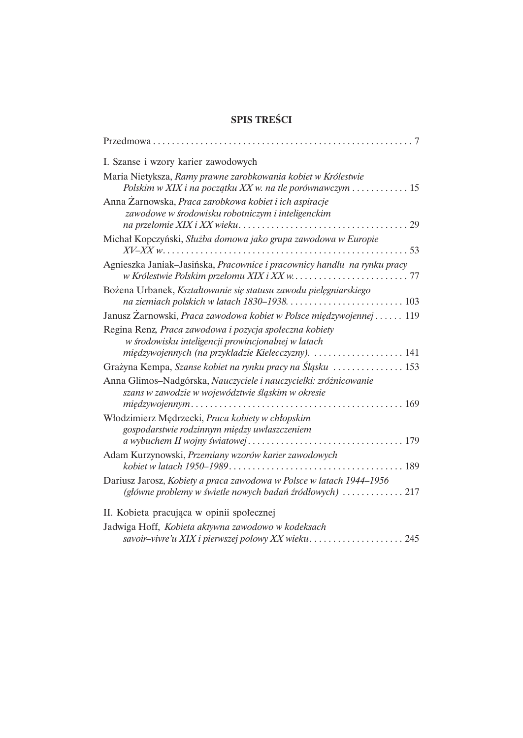## **SPIS TREŚCI**

| I. Szanse i wzory karier zawodowych<br>Maria Nietyksza, Ramy prawne zarobkowania kobiet w Królestwie<br>Polskim w XIX i na początku XX w. na tle porównawczym  15<br>Anna Zarnowska, Praca zarobkowa kobiet i ich aspiracje<br>zawodowe w środowisku robotniczym i inteligenckim<br>Michał Kopczyński, Służba domowa jako grupa zawodowa w Europie<br>Agnieszka Janiak–Jasińska, Pracownice i pracownicy handlu na rynku pracy<br>Bożena Urbanek, Kształtowanie się statusu zawodu pielęgniarskiego |
|-----------------------------------------------------------------------------------------------------------------------------------------------------------------------------------------------------------------------------------------------------------------------------------------------------------------------------------------------------------------------------------------------------------------------------------------------------------------------------------------------------|
|                                                                                                                                                                                                                                                                                                                                                                                                                                                                                                     |
|                                                                                                                                                                                                                                                                                                                                                                                                                                                                                                     |
|                                                                                                                                                                                                                                                                                                                                                                                                                                                                                                     |
|                                                                                                                                                                                                                                                                                                                                                                                                                                                                                                     |
|                                                                                                                                                                                                                                                                                                                                                                                                                                                                                                     |
|                                                                                                                                                                                                                                                                                                                                                                                                                                                                                                     |
| Janusz Zarnowski, Praca zawodowa kobiet w Polsce międzywojennej  119                                                                                                                                                                                                                                                                                                                                                                                                                                |
| Regina Renz, Praca zawodowa i pozycja społeczna kobiety<br>w środowisku inteligencji prowincjonalnej w latach<br>międzywojennych (na przykładzie Kielecczyzny).  141                                                                                                                                                                                                                                                                                                                                |
| Grażyna Kempa, Szanse kobiet na rynku pracy na Śląsku  153                                                                                                                                                                                                                                                                                                                                                                                                                                          |
| Anna Glimos-Nadgórska, Nauczyciele i nauczycielki: zróżnicowanie<br>szans w zawodzie w województwie śląskim w okresie                                                                                                                                                                                                                                                                                                                                                                               |
| Włodzimierz Mędrzecki, Praca kobiety w chłopskim<br>gospodarstwie rodzinnym między uwłaszczeniem                                                                                                                                                                                                                                                                                                                                                                                                    |
|                                                                                                                                                                                                                                                                                                                                                                                                                                                                                                     |
| Adam Kurzynowski, Przemiany wzorów karier zawodowych                                                                                                                                                                                                                                                                                                                                                                                                                                                |
| Dariusz Jarosz, Kobiety a praca zawodowa w Polsce w latach 1944-1956<br>(główne problemy w świetle nowych badań źródłowych)  217                                                                                                                                                                                                                                                                                                                                                                    |
| II. Kobieta pracująca w opinii społecznej                                                                                                                                                                                                                                                                                                                                                                                                                                                           |
| Jadwiga Hoff, Kobieta aktywna zawodowo w kodeksach                                                                                                                                                                                                                                                                                                                                                                                                                                                  |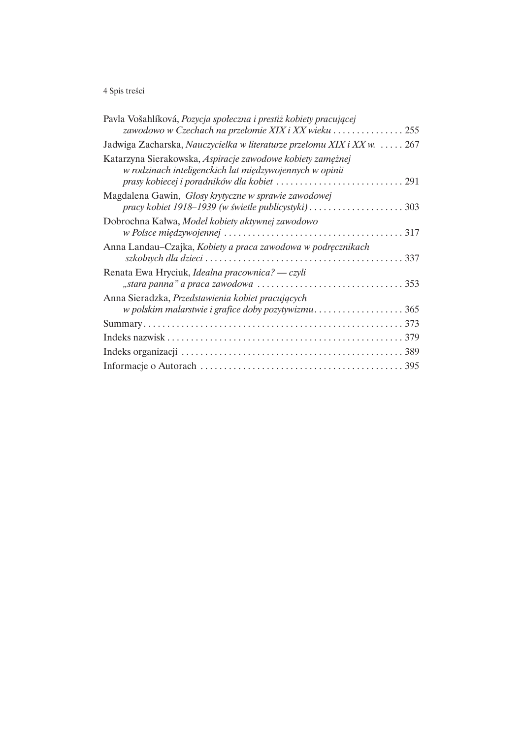## 4 Spis treści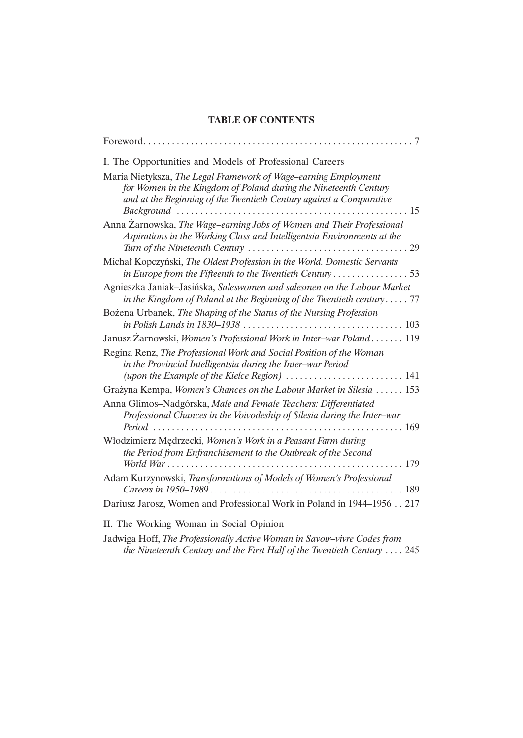## **TABLE OF CONTENTS**

| I. The Opportunities and Models of Professional Careers                                                                                                                                                                             |
|-------------------------------------------------------------------------------------------------------------------------------------------------------------------------------------------------------------------------------------|
| Maria Nietyksza, The Legal Framework of Wage-earning Employment<br>for Women in the Kingdom of Poland during the Nineteenth Century<br>and at the Beginning of the Twentieth Century against a Comparative<br>$Background \dots 15$ |
| Anna Zarnowska, The Wage–earning Jobs of Women and Their Professional<br>Aspirations in the Working Class and Intelligentsia Environments at the                                                                                    |
| Michał Kopczyński, The Oldest Profession in the World. Domestic Servants<br>in Europe from the Fifteenth to the Twentieth Century53                                                                                                 |
| Agnieszka Janiak-Jasińska, Saleswomen and salesmen on the Labour Market<br>in the Kingdom of Poland at the Beginning of the Twentieth century $77$                                                                                  |
| Bożena Urbanek, The Shaping of the Status of the Nursing Profession                                                                                                                                                                 |
| Janusz Zarnowski, Women's Professional Work in Inter-war Poland 119                                                                                                                                                                 |
| Regina Renz, The Professional Work and Social Position of the Woman<br>in the Provincial Intelligentsia during the Inter-war Period<br>(upon the Example of the Kielce Region)  141                                                 |
| Grażyna Kempa, Women's Chances on the Labour Market in Silesia  153                                                                                                                                                                 |
| Anna Glimos-Nadgórska, Male and Female Teachers: Differentiated<br>Professional Chances in the Voivodeship of Silesia during the Inter-war                                                                                          |
| Włodzimierz Mędrzecki, Women's Work in a Peasant Farm during<br>the Period from Enfranchisement to the Outbreak of the Second                                                                                                       |
| Adam Kurzynowski, Transformations of Models of Women's Professional                                                                                                                                                                 |
| Dariusz Jarosz, Women and Professional Work in Poland in 1944-1956 217                                                                                                                                                              |
| II. The Working Woman in Social Opinion                                                                                                                                                                                             |

Jadwiga Hoff, The Professionally Active Woman in Savoir-vivre Codes from the Nineteenth Century and the First Half of the Twentieth Century .... 245